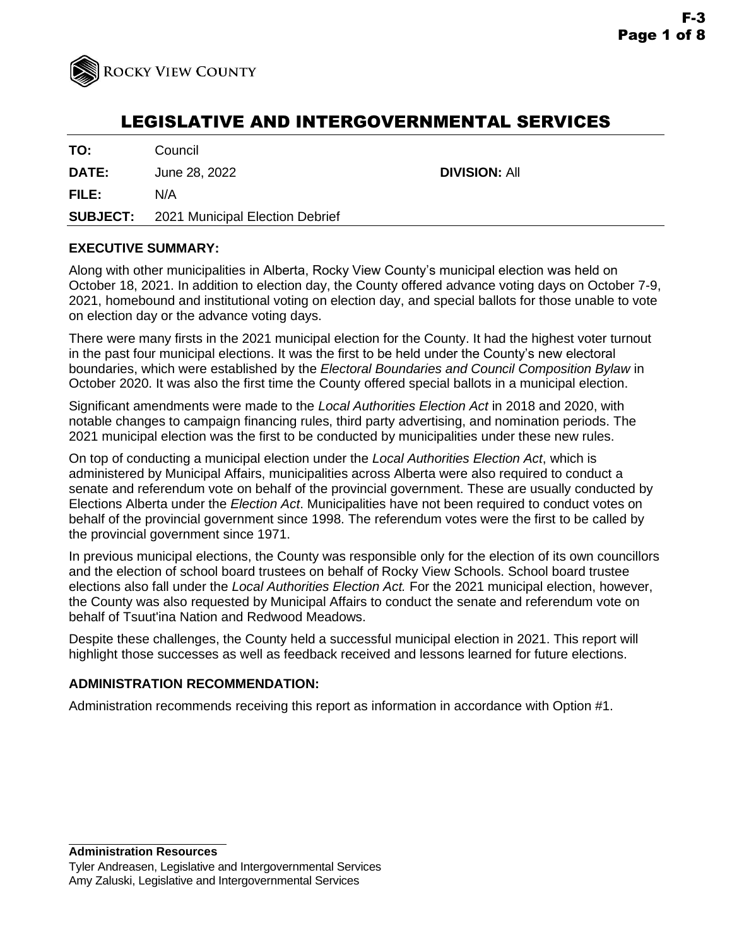

# LEGISLATIVE AND INTERGOVERNMENTAL SERVICES

**TO:** Council

**DATE:** June 28, 2022 **DIVISION:** All

**FILE:** N/A

**SUBJECT:** 2021 Municipal Election Debrief

# **EXECUTIVE SUMMARY:**

Along with other municipalities in Alberta, Rocky View County's municipal election was held on October 18, 2021. In addition to election day, the County offered advance voting days on October 7-9, 2021, homebound and institutional voting on election day, and special ballots for those unable to vote on election day or the advance voting days.

There were many firsts in the 2021 municipal election for the County. It had the highest voter turnout in the past four municipal elections. It was the first to be held under the County's new electoral boundaries, which were established by the *Electoral Boundaries and Council Composition Bylaw* in October 2020. It was also the first time the County offered special ballots in a municipal election.

Significant amendments were made to the *Local Authorities Election Act* in 2018 and 2020, with notable changes to campaign financing rules, third party advertising, and nomination periods. The 2021 municipal election was the first to be conducted by municipalities under these new rules.

On top of conducting a municipal election under the *Local Authorities Election Act*, which is administered by Municipal Affairs, municipalities across Alberta were also required to conduct a senate and referendum vote on behalf of the provincial government. These are usually conducted by Elections Alberta under the *Election Act*. Municipalities have not been required to conduct votes on behalf of the provincial government since 1998. The referendum votes were the first to be called by the provincial government since 1971.

In previous municipal elections, the County was responsible only for the election of its own councillors and the election of school board trustees on behalf of Rocky View Schools. School board trustee elections also fall under the *Local Authorities Election Act.* For the 2021 municipal election, however, the County was also requested by Municipal Affairs to conduct the senate and referendum vote on behalf of Tsuut'ina Nation and Redwood Meadows.

Despite these challenges, the County held a successful municipal election in 2021. This report will highlight those successes as well as feedback received and lessons learned for future elections.

## **ADMINISTRATION RECOMMENDATION:**

Administration recommends receiving this report as information in accordance with Option #1.

**Administration Resources**

Tyler Andreasen, Legislative and Intergovernmental Services Amy Zaluski, Legislative and Intergovernmental Services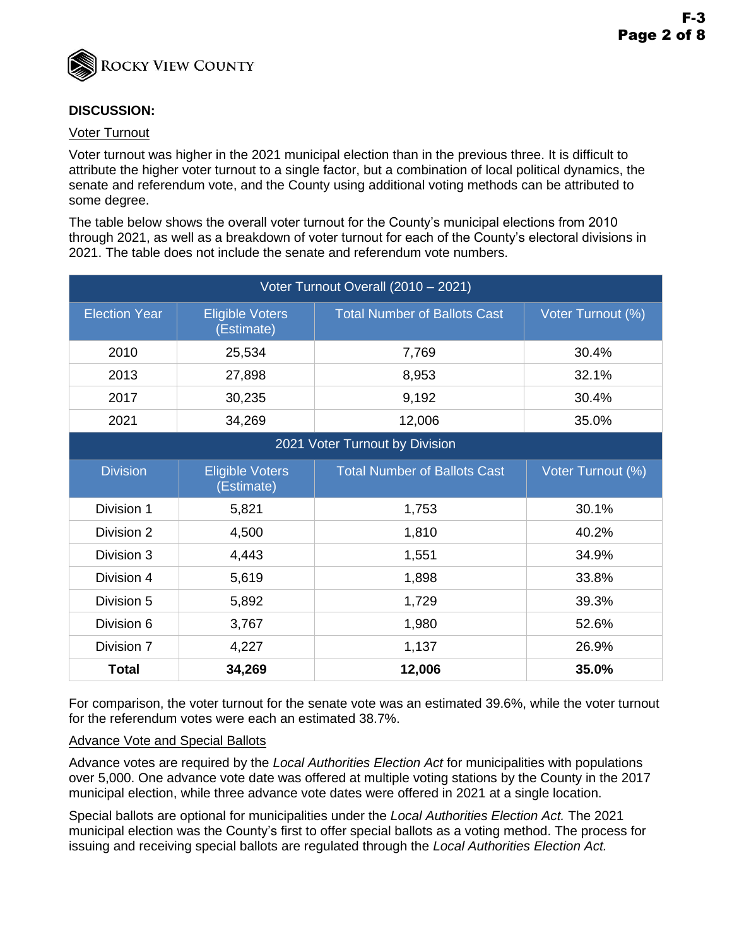

# **DISCUSSION:**

#### Voter Turnout

Voter turnout was higher in the 2021 municipal election than in the previous three. It is difficult to attribute the higher voter turnout to a single factor, but a combination of local political dynamics, the senate and referendum vote, and the County using additional voting methods can be attributed to some degree.

The table below shows the overall voter turnout for the County's municipal elections from 2010 through 2021, as well as a breakdown of voter turnout for each of the County's electoral divisions in 2021. The table does not include the senate and referendum vote numbers.

| Voter Turnout Overall (2010 - 2021) |                                      |                                     |                   |  |
|-------------------------------------|--------------------------------------|-------------------------------------|-------------------|--|
| <b>Election Year</b>                | <b>Eligible Voters</b><br>(Estimate) | <b>Total Number of Ballots Cast</b> | Voter Turnout (%) |  |
| 2010                                | 25,534                               | 7,769                               | 30.4%             |  |
| 2013                                | 27,898                               | 8,953                               | 32.1%             |  |
| 2017                                | 30,235                               | 9,192                               | 30.4%             |  |
| 2021                                | 34,269                               | 12,006                              | 35.0%             |  |
| 2021 Voter Turnout by Division      |                                      |                                     |                   |  |
| <b>Division</b>                     | <b>Eligible Voters</b><br>(Estimate) | <b>Total Number of Ballots Cast</b> | Voter Turnout (%) |  |
| Division 1                          | 5,821                                | 1,753                               | 30.1%             |  |
| Division 2                          | 4,500                                | 1,810                               | 40.2%             |  |
| Division 3                          | 4,443                                | 1,551                               | 34.9%             |  |
| Division 4                          | 5,619                                | 1,898                               | 33.8%             |  |
| Division 5                          | 5,892                                | 1,729                               | 39.3%             |  |
| Division 6                          | 3,767                                | 1,980                               | 52.6%             |  |
| Division 7                          | 4,227                                | 1,137                               | 26.9%             |  |
| <b>Total</b>                        | 34,269                               | 12,006                              | 35.0%             |  |

For comparison, the voter turnout for the senate vote was an estimated 39.6%, while the voter turnout for the referendum votes were each an estimated 38.7%.

#### Advance Vote and Special Ballots

Advance votes are required by the *Local Authorities Election Act* for municipalities with populations over 5,000. One advance vote date was offered at multiple voting stations by the County in the 2017 municipal election, while three advance vote dates were offered in 2021 at a single location.

Special ballots are optional for municipalities under the *Local Authorities Election Act.* The 2021 municipal election was the County's first to offer special ballots as a voting method. The process for issuing and receiving special ballots are regulated through the *Local Authorities Election Act.*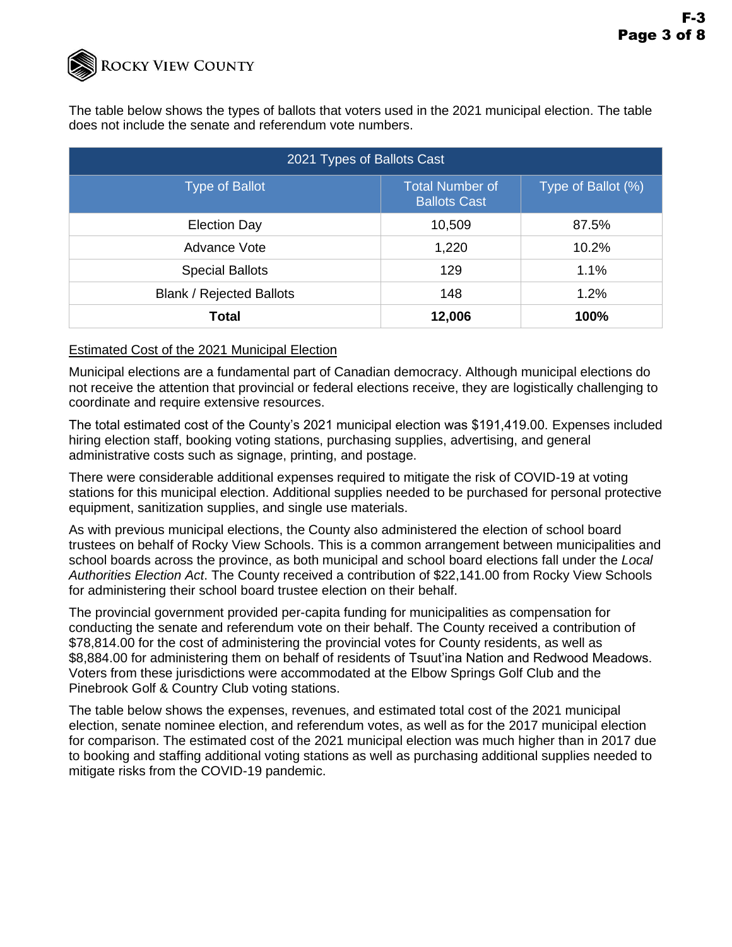

The table below shows the types of ballots that voters used in the 2021 municipal election. The table does not include the senate and referendum vote numbers.

| 2021 Types of Ballots Cast      |                                               |                    |  |  |
|---------------------------------|-----------------------------------------------|--------------------|--|--|
| <b>Type of Ballot</b>           | <b>Total Number of</b><br><b>Ballots Cast</b> | Type of Ballot (%) |  |  |
| <b>Election Day</b>             | 10,509                                        | 87.5%              |  |  |
| Advance Vote                    | 1,220                                         | 10.2%              |  |  |
| <b>Special Ballots</b>          | 129                                           | 1.1%               |  |  |
| <b>Blank / Rejected Ballots</b> | 148                                           | 1.2%               |  |  |
| Total                           | 12,006                                        | 100%               |  |  |

#### Estimated Cost of the 2021 Municipal Election

Municipal elections are a fundamental part of Canadian democracy. Although municipal elections do not receive the attention that provincial or federal elections receive, they are logistically challenging to coordinate and require extensive resources.

The total estimated cost of the County's 2021 municipal election was \$191,419.00. Expenses included hiring election staff, booking voting stations, purchasing supplies, advertising, and general administrative costs such as signage, printing, and postage.

There were considerable additional expenses required to mitigate the risk of COVID-19 at voting stations for this municipal election. Additional supplies needed to be purchased for personal protective equipment, sanitization supplies, and single use materials.

As with previous municipal elections, the County also administered the election of school board trustees on behalf of Rocky View Schools. This is a common arrangement between municipalities and school boards across the province, as both municipal and school board elections fall under the *Local Authorities Election Act*. The County received a contribution of \$22,141.00 from Rocky View Schools for administering their school board trustee election on their behalf.

The provincial government provided per-capita funding for municipalities as compensation for conducting the senate and referendum vote on their behalf. The County received a contribution of \$78,814.00 for the cost of administering the provincial votes for County residents, as well as \$8,884.00 for administering them on behalf of residents of Tsuut'ina Nation and Redwood Meadows. Voters from these jurisdictions were accommodated at the Elbow Springs Golf Club and the Pinebrook Golf & Country Club voting stations.

The table below shows the expenses, revenues, and estimated total cost of the 2021 municipal election, senate nominee election, and referendum votes, as well as for the 2017 municipal election for comparison. The estimated cost of the 2021 municipal election was much higher than in 2017 due to booking and staffing additional voting stations as well as purchasing additional supplies needed to mitigate risks from the COVID-19 pandemic.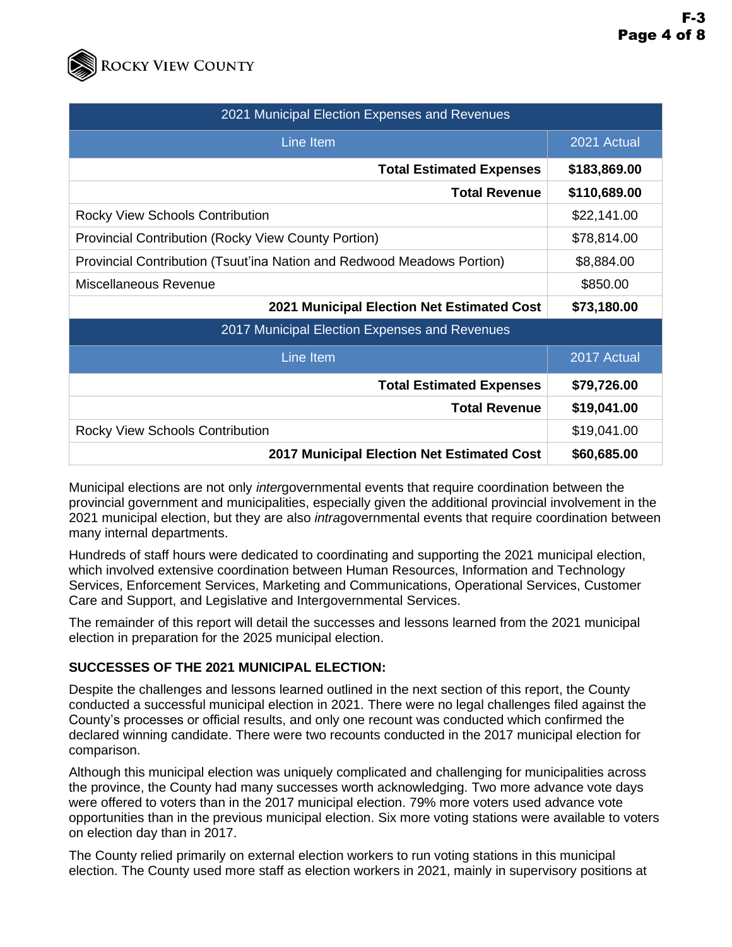

| 2021 Municipal Election Expenses and Revenues                          |              |  |  |
|------------------------------------------------------------------------|--------------|--|--|
| Line Item                                                              | 2021 Actual  |  |  |
| <b>Total Estimated Expenses</b>                                        | \$183,869.00 |  |  |
| <b>Total Revenue</b>                                                   | \$110,689.00 |  |  |
| <b>Rocky View Schools Contribution</b>                                 | \$22,141.00  |  |  |
| <b>Provincial Contribution (Rocky View County Portion)</b>             | \$78,814.00  |  |  |
| Provincial Contribution (Tsuut'ina Nation and Redwood Meadows Portion) | \$8,884.00   |  |  |
| Miscellaneous Revenue                                                  | \$850.00     |  |  |
| 2021 Municipal Election Net Estimated Cost                             | \$73,180.00  |  |  |
| 2017 Municipal Election Expenses and Revenues                          |              |  |  |
| Line Item                                                              | 2017 Actual  |  |  |
| <b>Total Estimated Expenses</b>                                        | \$79,726.00  |  |  |
| <b>Total Revenue</b>                                                   | \$19,041.00  |  |  |
| <b>Rocky View Schools Contribution</b>                                 | \$19,041.00  |  |  |
| 2017 Municipal Election Net Estimated Cost                             | \$60,685.00  |  |  |

Municipal elections are not only *inter*governmental events that require coordination between the provincial government and municipalities, especially given the additional provincial involvement in the 2021 municipal election, but they are also *intra*governmental events that require coordination between many internal departments.

Hundreds of staff hours were dedicated to coordinating and supporting the 2021 municipal election, which involved extensive coordination between Human Resources, Information and Technology Services, Enforcement Services, Marketing and Communications, Operational Services, Customer Care and Support, and Legislative and Intergovernmental Services.

The remainder of this report will detail the successes and lessons learned from the 2021 municipal election in preparation for the 2025 municipal election.

## **SUCCESSES OF THE 2021 MUNICIPAL ELECTION:**

Despite the challenges and lessons learned outlined in the next section of this report, the County conducted a successful municipal election in 2021. There were no legal challenges filed against the County's processes or official results, and only one recount was conducted which confirmed the declared winning candidate. There were two recounts conducted in the 2017 municipal election for comparison.

Although this municipal election was uniquely complicated and challenging for municipalities across the province, the County had many successes worth acknowledging. Two more advance vote days were offered to voters than in the 2017 municipal election. 79% more voters used advance vote opportunities than in the previous municipal election. Six more voting stations were available to voters on election day than in 2017.

The County relied primarily on external election workers to run voting stations in this municipal election. The County used more staff as election workers in 2021, mainly in supervisory positions at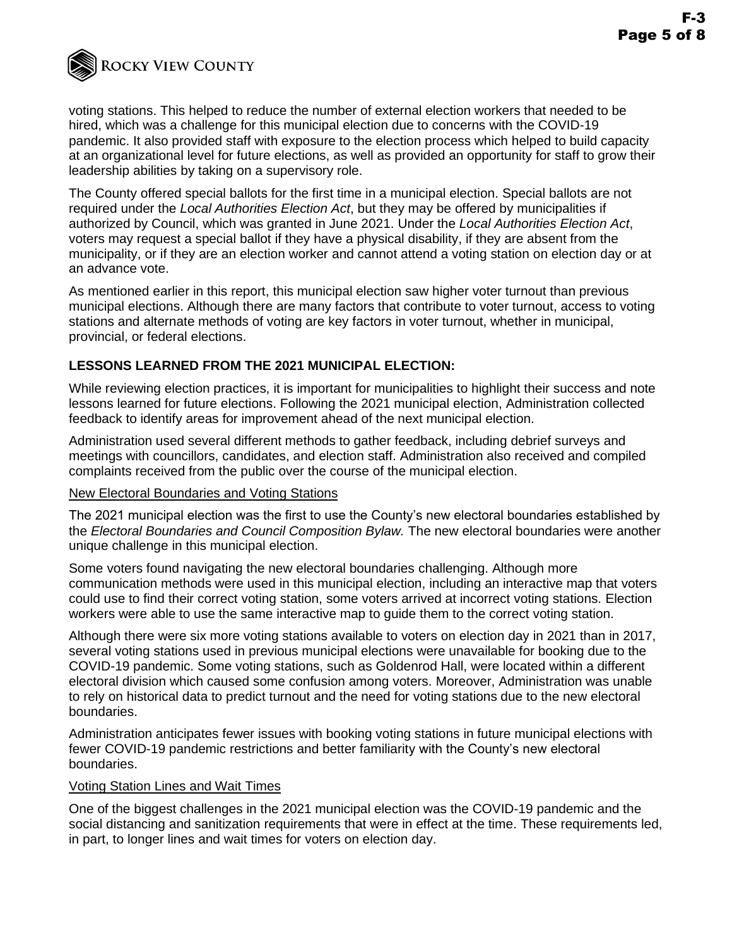

voting stations. This helped to reduce the number of external election workers that needed to be hired, which was a challenge for this municipal election due to concerns with the COVID-19 pandemic. It also provided staff with exposure to the election process which helped to build capacity at an organizational level for future elections, as well as provided an opportunity for staff to grow their leadership abilities by taking on a supervisory role.

The County offered special ballots for the first time in a municipal election. Special ballots are not required under the *Local Authorities Election Act*, but they may be offered by municipalities if authorized by Council, which was granted in June 2021. Under the *Local Authorities Election Act*, voters may request a special ballot if they have a physical disability, if they are absent from the municipality, or if they are an election worker and cannot attend a voting station on election day or at an advance vote.

As mentioned earlier in this report, this municipal election saw higher voter turnout than previous municipal elections. Although there are many factors that contribute to voter turnout, access to voting stations and alternate methods of voting are key factors in voter turnout, whether in municipal, provincial, or federal elections.

## **LESSONS LEARNED FROM THE 2021 MUNICIPAL ELECTION:**

While reviewing election practices, it is important for municipalities to highlight their success and note lessons learned for future elections. Following the 2021 municipal election, Administration collected feedback to identify areas for improvement ahead of the next municipal election.

Administration used several different methods to gather feedback, including debrief surveys and meetings with councillors, candidates, and election staff. Administration also received and compiled complaints received from the public over the course of the municipal election.

## New Electoral Boundaries and Voting Stations

The 2021 municipal election was the first to use the County's new electoral boundaries established by the *Electoral Boundaries and Council Composition Bylaw.* The new electoral boundaries were another unique challenge in this municipal election.

Some voters found navigating the new electoral boundaries challenging. Although more communication methods were used in this municipal election, including an interactive map that voters could use to find their correct voting station, some voters arrived at incorrect voting stations. Election workers were able to use the same interactive map to guide them to the correct voting station.

Although there were six more voting stations available to voters on election day in 2021 than in 2017, several voting stations used in previous municipal elections were unavailable for booking due to the COVID-19 pandemic. Some voting stations, such as Goldenrod Hall, were located within a different electoral division which caused some confusion among voters. Moreover, Administration was unable to rely on historical data to predict turnout and the need for voting stations due to the new electoral boundaries.

Administration anticipates fewer issues with booking voting stations in future municipal elections with fewer COVID-19 pandemic restrictions and better familiarity with the County's new electoral boundaries.

## Voting Station Lines and Wait Times

One of the biggest challenges in the 2021 municipal election was the COVID-19 pandemic and the social distancing and sanitization requirements that were in effect at the time. These requirements led, in part, to longer lines and wait times for voters on election day.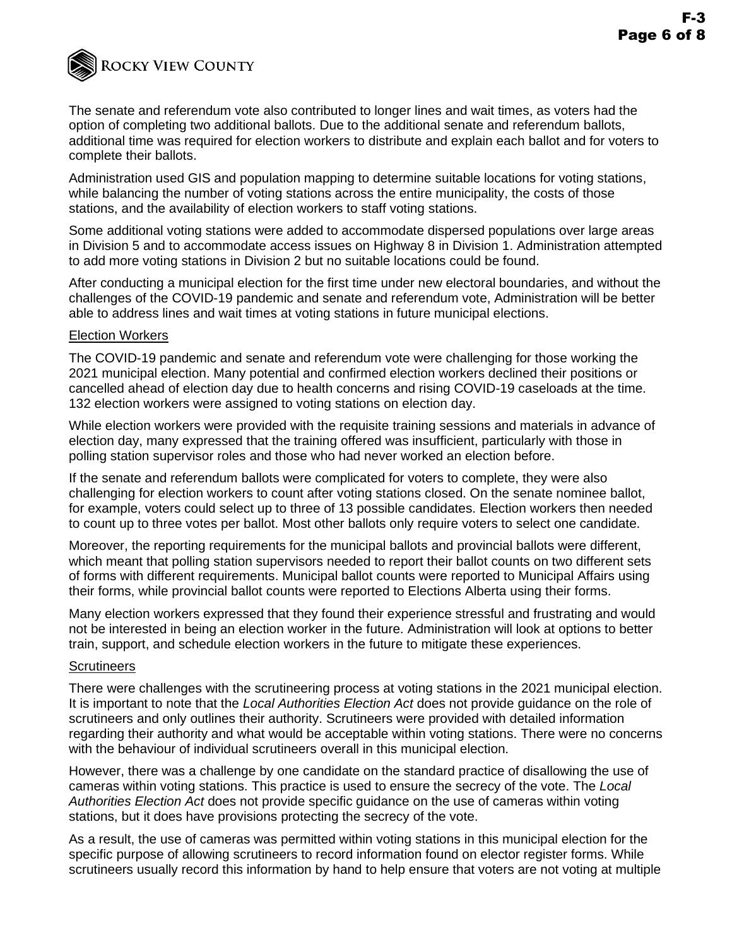

The senate and referendum vote also contributed to longer lines and wait times, as voters had the option of completing two additional ballots. Due to the additional senate and referendum ballots, additional time was required for election workers to distribute and explain each ballot and for voters to complete their ballots.

Administration used GIS and population mapping to determine suitable locations for voting stations, while balancing the number of voting stations across the entire municipality, the costs of those stations, and the availability of election workers to staff voting stations.

Some additional voting stations were added to accommodate dispersed populations over large areas in Division 5 and to accommodate access issues on Highway 8 in Division 1. Administration attempted to add more voting stations in Division 2 but no suitable locations could be found.

After conducting a municipal election for the first time under new electoral boundaries, and without the challenges of the COVID-19 pandemic and senate and referendum vote, Administration will be better able to address lines and wait times at voting stations in future municipal elections.

#### Election Workers

The COVID-19 pandemic and senate and referendum vote were challenging for those working the 2021 municipal election. Many potential and confirmed election workers declined their positions or cancelled ahead of election day due to health concerns and rising COVID-19 caseloads at the time. 132 election workers were assigned to voting stations on election day.

While election workers were provided with the requisite training sessions and materials in advance of election day, many expressed that the training offered was insufficient, particularly with those in polling station supervisor roles and those who had never worked an election before.

If the senate and referendum ballots were complicated for voters to complete, they were also challenging for election workers to count after voting stations closed. On the senate nominee ballot, for example, voters could select up to three of 13 possible candidates. Election workers then needed to count up to three votes per ballot. Most other ballots only require voters to select one candidate.

Moreover, the reporting requirements for the municipal ballots and provincial ballots were different, which meant that polling station supervisors needed to report their ballot counts on two different sets of forms with different requirements. Municipal ballot counts were reported to Municipal Affairs using their forms, while provincial ballot counts were reported to Elections Alberta using their forms.

Many election workers expressed that they found their experience stressful and frustrating and would not be interested in being an election worker in the future. Administration will look at options to better train, support, and schedule election workers in the future to mitigate these experiences.

#### **Scrutineers**

There were challenges with the scrutineering process at voting stations in the 2021 municipal election. It is important to note that the *Local Authorities Election Act* does not provide guidance on the role of scrutineers and only outlines their authority. Scrutineers were provided with detailed information regarding their authority and what would be acceptable within voting stations. There were no concerns with the behaviour of individual scrutineers overall in this municipal election.

However, there was a challenge by one candidate on the standard practice of disallowing the use of cameras within voting stations. This practice is used to ensure the secrecy of the vote. The *Local Authorities Election Act* does not provide specific guidance on the use of cameras within voting stations, but it does have provisions protecting the secrecy of the vote.

As a result, the use of cameras was permitted within voting stations in this municipal election for the specific purpose of allowing scrutineers to record information found on elector register forms. While scrutineers usually record this information by hand to help ensure that voters are not voting at multiple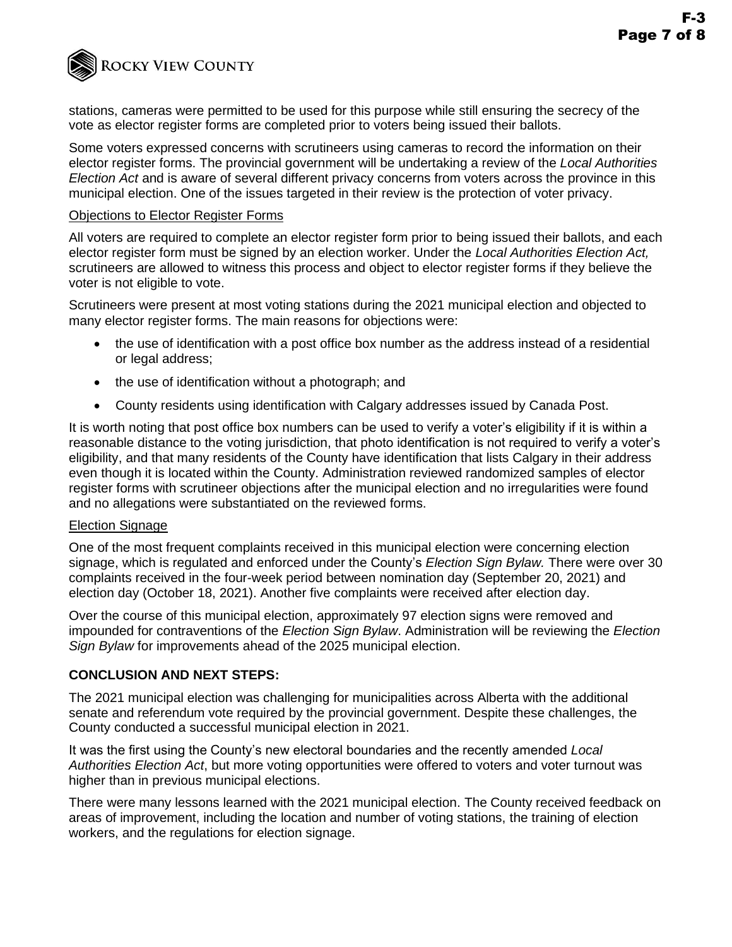**ROCKY VIEW COUNTY** 

stations, cameras were permitted to be used for this purpose while still ensuring the secrecy of the vote as elector register forms are completed prior to voters being issued their ballots.

Some voters expressed concerns with scrutineers using cameras to record the information on their elector register forms. The provincial government will be undertaking a review of the *Local Authorities Election Act* and is aware of several different privacy concerns from voters across the province in this municipal election. One of the issues targeted in their review is the protection of voter privacy.

## Objections to Elector Register Forms

All voters are required to complete an elector register form prior to being issued their ballots, and each elector register form must be signed by an election worker. Under the *Local Authorities Election Act,*  scrutineers are allowed to witness this process and object to elector register forms if they believe the voter is not eligible to vote.

Scrutineers were present at most voting stations during the 2021 municipal election and objected to many elector register forms. The main reasons for objections were:

- the use of identification with a post office box number as the address instead of a residential or legal address;
- the use of identification without a photograph; and
- County residents using identification with Calgary addresses issued by Canada Post.

It is worth noting that post office box numbers can be used to verify a voter's eligibility if it is within a reasonable distance to the voting jurisdiction, that photo identification is not required to verify a voter's eligibility, and that many residents of the County have identification that lists Calgary in their address even though it is located within the County. Administration reviewed randomized samples of elector register forms with scrutineer objections after the municipal election and no irregularities were found and no allegations were substantiated on the reviewed forms.

## Election Signage

One of the most frequent complaints received in this municipal election were concerning election signage, which is regulated and enforced under the County's *Election Sign Bylaw.* There were over 30 complaints received in the four-week period between nomination day (September 20, 2021) and election day (October 18, 2021). Another five complaints were received after election day.

Over the course of this municipal election, approximately 97 election signs were removed and impounded for contraventions of the *Election Sign Bylaw*. Administration will be reviewing the *Election Sign Bylaw* for improvements ahead of the 2025 municipal election.

## **CONCLUSION AND NEXT STEPS:**

The 2021 municipal election was challenging for municipalities across Alberta with the additional senate and referendum vote required by the provincial government. Despite these challenges, the County conducted a successful municipal election in 2021.

It was the first using the County's new electoral boundaries and the recently amended *Local Authorities Election Act*, but more voting opportunities were offered to voters and voter turnout was higher than in previous municipal elections.

There were many lessons learned with the 2021 municipal election. The County received feedback on areas of improvement, including the location and number of voting stations, the training of election workers, and the regulations for election signage.